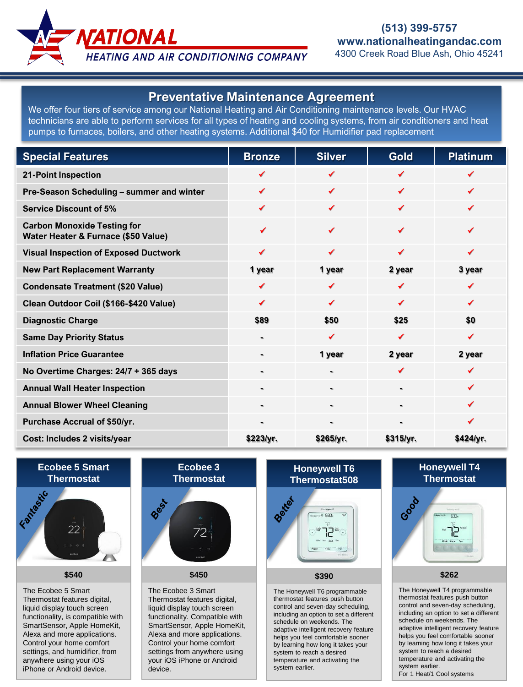

**HEATING AND AIR CONDITIONING COMPANY** 

## **Preventative Maintenance Agreement**

We offer four tiers of service among our National Heating and Air Conditioning maintenance levels. Our HVAC technicians are able to perform services for all types of heating and cooling systems, from air conditioners and heat pumps to furnaces, boilers, and other heating systems. Additional \$40 for Humidifier pad replacement

| <b>Special Features</b>                                                   | <b>Bronze</b>  | <b>Silver</b> | <b>Gold</b>    | <b>Platinum</b> |
|---------------------------------------------------------------------------|----------------|---------------|----------------|-----------------|
| <b>21-Point Inspection</b>                                                |                | ✔             | ✔              |                 |
| Pre-Season Scheduling - summer and winter                                 | ✓              | ✓             | ✔              | ✓               |
| <b>Service Discount of 5%</b>                                             | ✔              | ✓             | ✔              | ✔               |
| <b>Carbon Monoxide Testing for</b><br>Water Heater & Furnace (\$50 Value) | ✔              | ✔             | ✔              | ✔               |
| <b>Visual Inspection of Exposed Ductwork</b>                              | ✔              | ✔             | ✔              | ✔               |
| <b>New Part Replacement Warranty</b>                                      | 1 year         | 1 year        | 2 year         | 3 year          |
| <b>Condensate Treatment (\$20 Value)</b>                                  | ✔              | ✔             | ✔              | ✔               |
| Clean Outdoor Coil (\$166-\$420 Value)                                    | ✓              | ✔             | ✔              | ✓               |
| <b>Diagnostic Charge</b>                                                  | \$89           | \$50          | \$25           | \$0             |
| <b>Same Day Priority Status</b>                                           | $\blacksquare$ | ✔             | ✔              | ✔               |
| <b>Inflation Price Guarantee</b>                                          | $\blacksquare$ | 1 year        | 2 year         | 2 year          |
| No Overtime Charges: 24/7 + 365 days                                      | $\blacksquare$ |               | ✔              | ✔               |
| <b>Annual Wall Heater Inspection</b>                                      |                |               | ٠              | ✔               |
| <b>Annual Blower Wheel Cleaning</b>                                       | $\mathbf{m}$   |               | $\blacksquare$ | ✔               |
| Purchase Accrual of \$50/yr.                                              | $\blacksquare$ |               | $\blacksquare$ | ✔               |
| Cost: Includes 2 visits/year                                              | \$223/yr.      | \$265/yr.     | \$315/yr.      | \$424/yr.       |

# **Ecobee 5 Smart**



**\$540**

The Ecobee 5 Smart Thermostat features digital, liquid display touch screen functionality, is compatible with SmartSensor, Apple HomeKit, Alexa and more applications. Control your home comfort settings, and humidifier, from anywhere using your iOS iPhone or Android device.



The Ecobee 3 Smart Thermostat features digital, liquid display touch screen functionality. Compatible with SmartSensor, Apple HomeKit, Alexa and more applications. Control your home comfort settings from anywhere using your iOS iPhone or Android device.

### **Honeywell T6 Thermostat508**



#### **\$390**

The Honeywell T6 programmable thermostat features push button control and seven-day scheduling, including an option to set a different schedule on weekends. The adaptive intelligent recovery feature helps you feel comfortable sooner by learning how long it takes your system to reach a desired temperature and activating the system earlier.

## **Honeywell T4 Thermostat**



**\$262**

The Honeywell T4 programmable thermostat features push button control and seven-day scheduling, including an option to set a different schedule on weekends. The adaptive intelligent recovery feature helps you feel comfortable sooner by learning how long it takes your system to reach a desired temperature and activating the system earlier. For 1 Heat/1 Cool systems